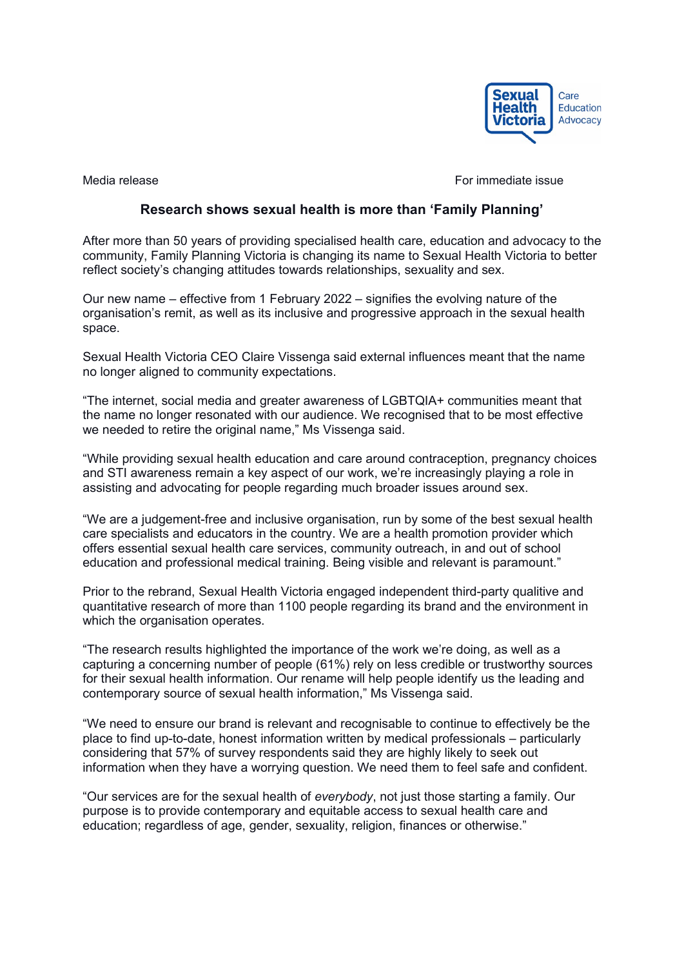

Media release **For immediate issue** For immediate issue

## **Research shows sexual health is more than 'Family Planning'**

After more than 50 years of providing specialised health care, education and advocacy to the community, Family Planning Victoria is changing its name to Sexual Health Victoria to better reflect society's changing attitudes towards relationships, sexuality and sex.

Our new name – effective from 1 February 2022 – signifies the evolving nature of the organisation's remit, as well as its inclusive and progressive approach in the sexual health space.

Sexual Health Victoria CEO Claire Vissenga said external influences meant that the name no longer aligned to community expectations.

"The internet, social media and greater awareness of LGBTQIA+ communities meant that the name no longer resonated with our audience. We recognised that to be most effective we needed to retire the original name," Ms Vissenga said.

"While providing sexual health education and care around contraception, pregnancy choices and STI awareness remain a key aspect of our work, we're increasingly playing a role in assisting and advocating for people regarding much broader issues around sex.

"We are a judgement-free and inclusive organisation, run by some of the best sexual health care specialists and educators in the country. We are a health promotion provider which offers essential sexual health care services, community outreach, in and out of school education and professional medical training. Being visible and relevant is paramount."

Prior to the rebrand, Sexual Health Victoria engaged independent third-party qualitive and quantitative research of more than 1100 people regarding its brand and the environment in which the organisation operates.

"The research results highlighted the importance of the work we're doing, as well as a capturing a concerning number of people (61%) rely on less credible or trustworthy sources for their sexual health information. Our rename will help people identify us the leading and contemporary source of sexual health information," Ms Vissenga said.

"We need to ensure our brand is relevant and recognisable to continue to effectively be the place to find up-to-date, honest information written by medical professionals – particularly considering that 57% of survey respondents said they are highly likely to seek out information when they have a worrying question. We need them to feel safe and confident.

"Our services are for the sexual health of *everybody*, not just those starting a family. Our purpose is to provide contemporary and equitable access to sexual health care and education; regardless of age, gender, sexuality, religion, finances or otherwise."